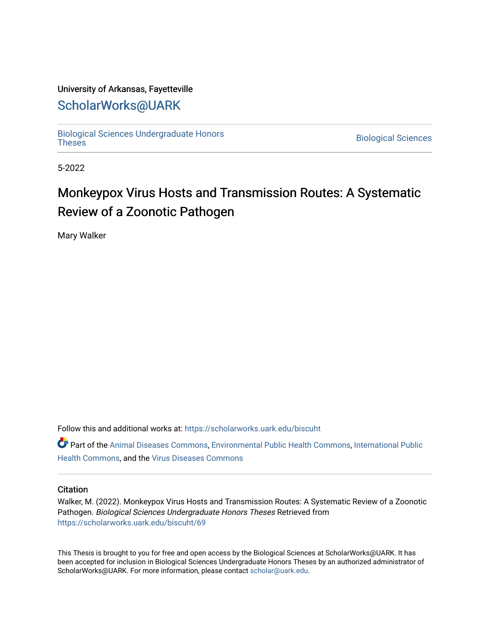# University of Arkansas, Fayetteville

# [ScholarWorks@UARK](https://scholarworks.uark.edu/)

[Biological Sciences Undergraduate Honors](https://scholarworks.uark.edu/biscuht)

**Biological Sciences** 

5-2022

# Monkeypox Virus Hosts and Transmission Routes: A Systematic Review of a Zoonotic Pathogen

Mary Walker

Follow this and additional works at: [https://scholarworks.uark.edu/biscuht](https://scholarworks.uark.edu/biscuht?utm_source=scholarworks.uark.edu%2Fbiscuht%2F69&utm_medium=PDF&utm_campaign=PDFCoverPages) 

Part of the [Animal Diseases Commons,](http://network.bepress.com/hgg/discipline/918?utm_source=scholarworks.uark.edu%2Fbiscuht%2F69&utm_medium=PDF&utm_campaign=PDFCoverPages) [Environmental Public Health Commons](http://network.bepress.com/hgg/discipline/739?utm_source=scholarworks.uark.edu%2Fbiscuht%2F69&utm_medium=PDF&utm_campaign=PDFCoverPages), [International Public](http://network.bepress.com/hgg/discipline/746?utm_source=scholarworks.uark.edu%2Fbiscuht%2F69&utm_medium=PDF&utm_campaign=PDFCoverPages)  [Health Commons,](http://network.bepress.com/hgg/discipline/746?utm_source=scholarworks.uark.edu%2Fbiscuht%2F69&utm_medium=PDF&utm_campaign=PDFCoverPages) and the [Virus Diseases Commons](http://network.bepress.com/hgg/discipline/998?utm_source=scholarworks.uark.edu%2Fbiscuht%2F69&utm_medium=PDF&utm_campaign=PDFCoverPages) 

# **Citation**

Walker, M. (2022). Monkeypox Virus Hosts and Transmission Routes: A Systematic Review of a Zoonotic Pathogen. Biological Sciences Undergraduate Honors Theses Retrieved from [https://scholarworks.uark.edu/biscuht/69](https://scholarworks.uark.edu/biscuht/69?utm_source=scholarworks.uark.edu%2Fbiscuht%2F69&utm_medium=PDF&utm_campaign=PDFCoverPages)

This Thesis is brought to you for free and open access by the Biological Sciences at ScholarWorks@UARK. It has been accepted for inclusion in Biological Sciences Undergraduate Honors Theses by an authorized administrator of ScholarWorks@UARK. For more information, please contact [scholar@uark.edu](mailto:scholar@uark.edu).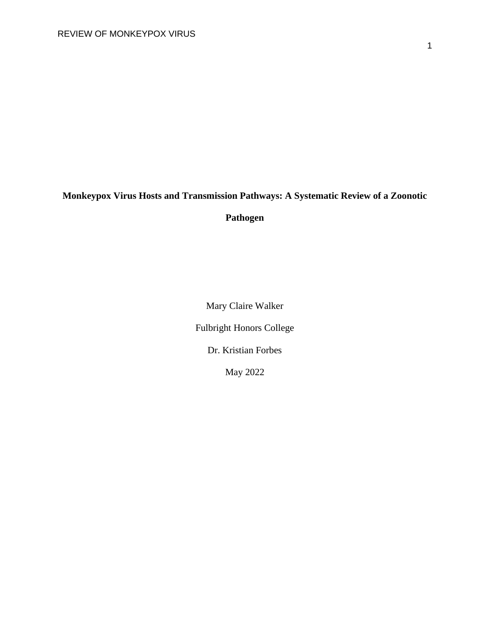# **Monkeypox Virus Hosts and Transmission Pathways: A Systematic Review of a Zoonotic**

**Pathogen** 

Mary Claire Walker

Fulbright Honors College

Dr. Kristian Forbes

May 2022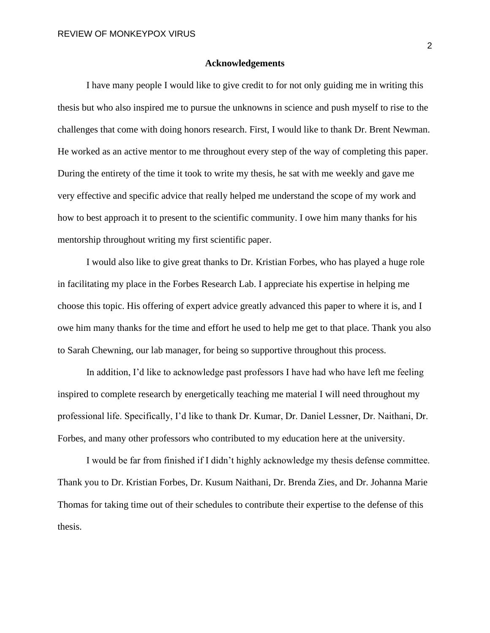### **Acknowledgements**

I have many people I would like to give credit to for not only guiding me in writing this thesis but who also inspired me to pursue the unknowns in science and push myself to rise to the challenges that come with doing honors research. First, I would like to thank Dr. Brent Newman. He worked as an active mentor to me throughout every step of the way of completing this paper. During the entirety of the time it took to write my thesis, he sat with me weekly and gave me very effective and specific advice that really helped me understand the scope of my work and how to best approach it to present to the scientific community. I owe him many thanks for his mentorship throughout writing my first scientific paper.

I would also like to give great thanks to Dr. Kristian Forbes, who has played a huge role in facilitating my place in the Forbes Research Lab. I appreciate his expertise in helping me choose this topic. His offering of expert advice greatly advanced this paper to where it is, and I owe him many thanks for the time and effort he used to help me get to that place. Thank you also to Sarah Chewning, our lab manager, for being so supportive throughout this process.

In addition, I'd like to acknowledge past professors I have had who have left me feeling inspired to complete research by energetically teaching me material I will need throughout my professional life. Specifically, I'd like to thank Dr. Kumar, Dr. Daniel Lessner, Dr. Naithani, Dr. Forbes, and many other professors who contributed to my education here at the university.

I would be far from finished if I didn't highly acknowledge my thesis defense committee. Thank you to Dr. Kristian Forbes, Dr. Kusum Naithani, Dr. Brenda Zies, and Dr. Johanna Marie Thomas for taking time out of their schedules to contribute their expertise to the defense of this thesis.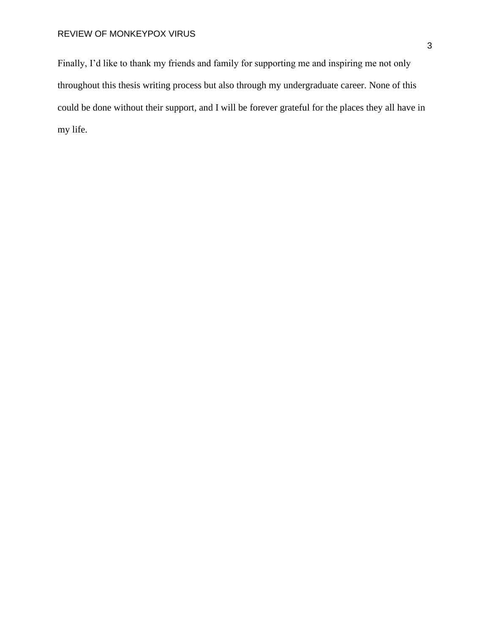Finally, I'd like to thank my friends and family for supporting me and inspiring me not only throughout this thesis writing process but also through my undergraduate career. None of this could be done without their support, and I will be forever grateful for the places they all have in my life.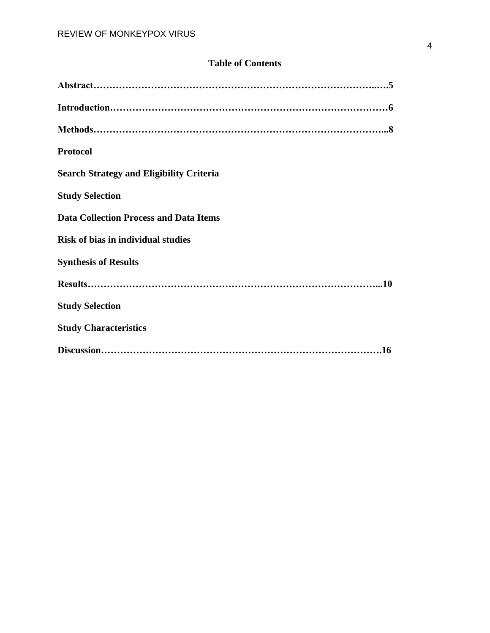# **Table of Contents**

| <b>Protocol</b>                                 |
|-------------------------------------------------|
| <b>Search Strategy and Eligibility Criteria</b> |
| <b>Study Selection</b>                          |
| <b>Data Collection Process and Data Items</b>   |
| <b>Risk of bias in individual studies</b>       |
| <b>Synthesis of Results</b>                     |
|                                                 |
| <b>Study Selection</b>                          |
| <b>Study Characteristics</b>                    |
|                                                 |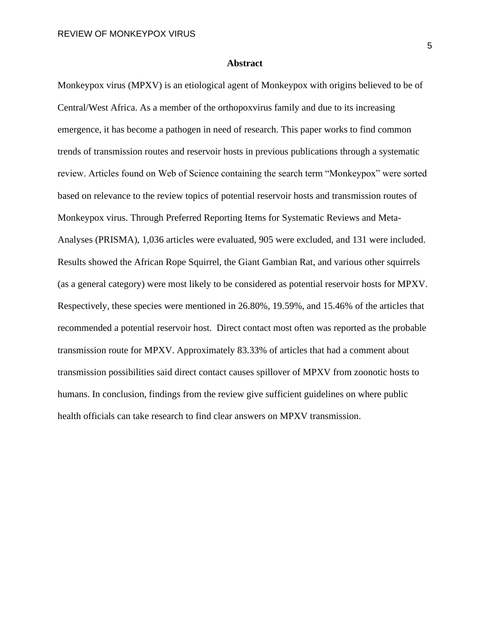## **Abstract**

Monkeypox virus (MPXV) is an etiological agent of Monkeypox with origins believed to be of Central/West Africa. As a member of the orthopoxvirus family and due to its increasing emergence, it has become a pathogen in need of research. This paper works to find common trends of transmission routes and reservoir hosts in previous publications through a systematic review. Articles found on Web of Science containing the search term "Monkeypox" were sorted based on relevance to the review topics of potential reservoir hosts and transmission routes of Monkeypox virus. Through Preferred Reporting Items for Systematic Reviews and Meta-Analyses (PRISMA), 1,036 articles were evaluated, 905 were excluded, and 131 were included. Results showed the African Rope Squirrel, the Giant Gambian Rat, and various other squirrels (as a general category) were most likely to be considered as potential reservoir hosts for MPXV. Respectively, these species were mentioned in 26.80%, 19.59%, and 15.46% of the articles that recommended a potential reservoir host. Direct contact most often was reported as the probable transmission route for MPXV. Approximately 83.33% of articles that had a comment about transmission possibilities said direct contact causes spillover of MPXV from zoonotic hosts to humans. In conclusion, findings from the review give sufficient guidelines on where public health officials can take research to find clear answers on MPXV transmission.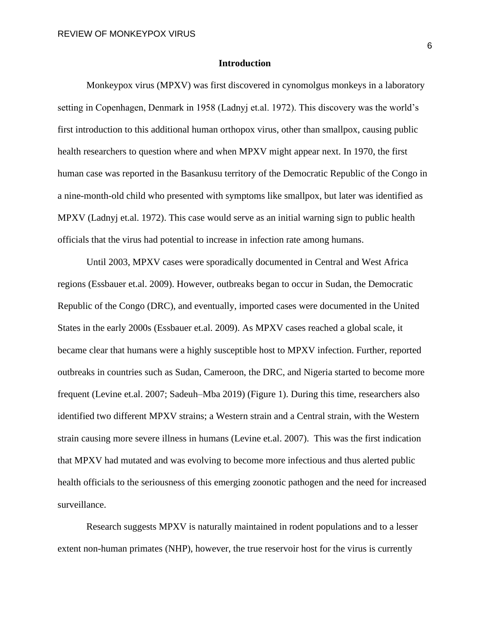## **Introduction**

Monkeypox virus (MPXV) was first discovered in cynomolgus monkeys in a laboratory setting in Copenhagen, Denmark in 1958 (Ladnyj et.al. 1972). This discovery was the world's first introduction to this additional human orthopox virus, other than smallpox, causing public health researchers to question where and when MPXV might appear next. In 1970, the first human case was reported in the Basankusu territory of the Democratic Republic of the Congo in a nine-month-old child who presented with symptoms like smallpox, but later was identified as MPXV (Ladnyj et.al. 1972). This case would serve as an initial warning sign to public health officials that the virus had potential to increase in infection rate among humans.

Until 2003, MPXV cases were sporadically documented in Central and West Africa regions (Essbauer et.al. 2009). However, outbreaks began to occur in Sudan, the Democratic Republic of the Congo (DRC), and eventually, imported cases were documented in the United States in the early 2000s (Essbauer et.al. 2009). As MPXV cases reached a global scale, it became clear that humans were a highly susceptible host to MPXV infection. Further, reported outbreaks in countries such as Sudan, Cameroon, the DRC, and Nigeria started to become more frequent (Levine et.al. 2007; Sadeuh–Mba 2019) (Figure 1). During this time, researchers also identified two different MPXV strains; a Western strain and a Central strain, with the Western strain causing more severe illness in humans (Levine et.al. 2007). This was the first indication that MPXV had mutated and was evolving to become more infectious and thus alerted public health officials to the seriousness of this emerging zoonotic pathogen and the need for increased surveillance.

Research suggests MPXV is naturally maintained in rodent populations and to a lesser extent non-human primates (NHP), however, the true reservoir host for the virus is currently

6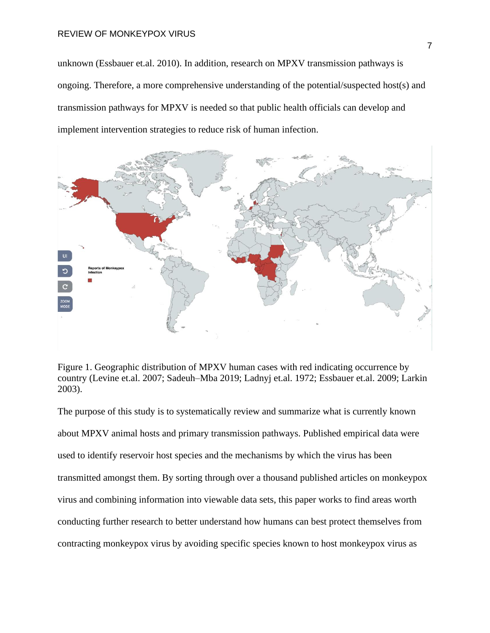unknown (Essbauer et.al. 2010). In addition, research on MPXV transmission pathways is ongoing. Therefore, a more comprehensive understanding of the potential/suspected host(s) and transmission pathways for MPXV is needed so that public health officials can develop and implement intervention strategies to reduce risk of human infection.





The purpose of this study is to systematically review and summarize what is currently known about MPXV animal hosts and primary transmission pathways. Published empirical data were used to identify reservoir host species and the mechanisms by which the virus has been transmitted amongst them. By sorting through over a thousand published articles on monkeypox virus and combining information into viewable data sets, this paper works to find areas worth conducting further research to better understand how humans can best protect themselves from contracting monkeypox virus by avoiding specific species known to host monkeypox virus as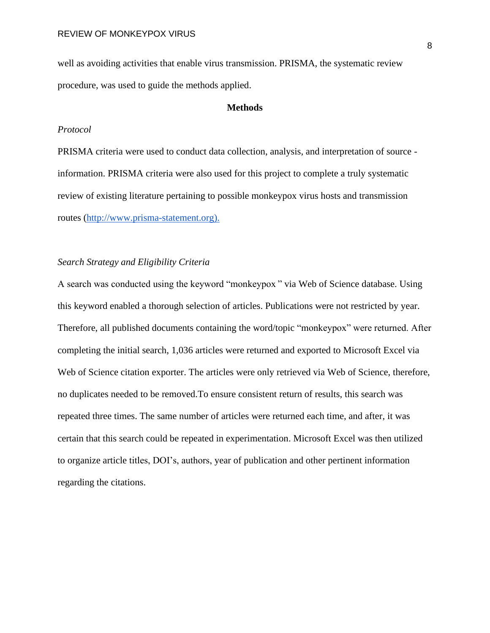well as avoiding activities that enable virus transmission. PRISMA, the systematic review procedure, was used to guide the methods applied.

# **Methods**

# *Protocol*

PRISMA criteria were used to conduct data collection, analysis, and interpretation of source information. PRISMA criteria were also used for this project to complete a truly systematic review of existing literature pertaining to possible monkeypox virus hosts and transmission routes [\(http://www.prisma-statement.org\)](http://www.prisma-statement.org/).

# *Search Strategy and Eligibility Criteria*

A search was conducted using the keyword "monkeypox " via Web of Science database. Using this keyword enabled a thorough selection of articles. Publications were not restricted by year. Therefore, all published documents containing the word/topic "monkeypox" were returned. After completing the initial search, 1,036 articles were returned and exported to Microsoft Excel via Web of Science citation exporter. The articles were only retrieved via Web of Science, therefore, no duplicates needed to be removed.To ensure consistent return of results, this search was repeated three times. The same number of articles were returned each time, and after, it was certain that this search could be repeated in experimentation. Microsoft Excel was then utilized to organize article titles, DOI's, authors, year of publication and other pertinent information regarding the citations.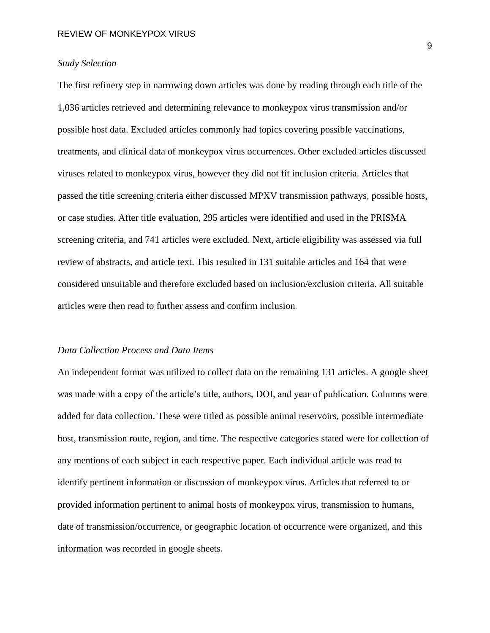# *Study Selection*

The first refinery step in narrowing down articles was done by reading through each title of the 1,036 articles retrieved and determining relevance to monkeypox virus transmission and/or possible host data. Excluded articles commonly had topics covering possible vaccinations, treatments, and clinical data of monkeypox virus occurrences. Other excluded articles discussed viruses related to monkeypox virus, however they did not fit inclusion criteria. Articles that passed the title screening criteria either discussed MPXV transmission pathways, possible hosts, or case studies. After title evaluation, 295 articles were identified and used in the PRISMA screening criteria, and 741 articles were excluded. Next, article eligibility was assessed via full review of abstracts, and article text. This resulted in 131 suitable articles and 164 that were considered unsuitable and therefore excluded based on inclusion/exclusion criteria. All suitable articles were then read to further assess and confirm inclusion.

# *Data Collection Process and Data Items*

An independent format was utilized to collect data on the remaining 131 articles. A google sheet was made with a copy of the article's title, authors, DOI, and year of publication. Columns were added for data collection. These were titled as possible animal reservoirs, possible intermediate host, transmission route, region, and time. The respective categories stated were for collection of any mentions of each subject in each respective paper. Each individual article was read to identify pertinent information or discussion of monkeypox virus. Articles that referred to or provided information pertinent to animal hosts of monkeypox virus, transmission to humans, date of transmission/occurrence, or geographic location of occurrence were organized, and this information was recorded in google sheets.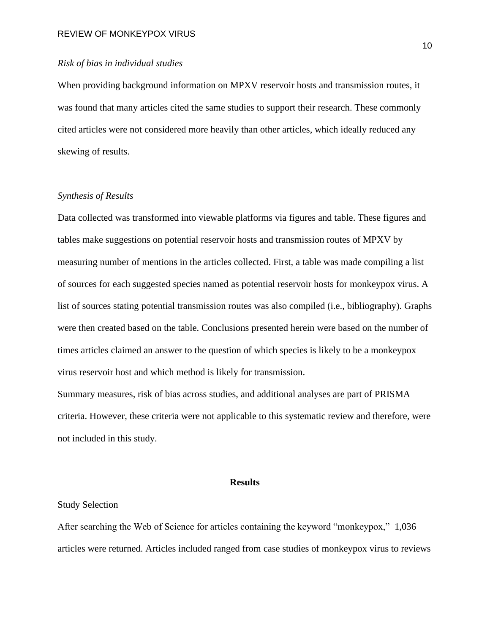# *Risk of bias in individual studies*

When providing background information on MPXV reservoir hosts and transmission routes, it was found that many articles cited the same studies to support their research. These commonly cited articles were not considered more heavily than other articles, which ideally reduced any skewing of results.

# *Synthesis of Results*

Data collected was transformed into viewable platforms via figures and table. These figures and tables make suggestions on potential reservoir hosts and transmission routes of MPXV by measuring number of mentions in the articles collected. First, a table was made compiling a list of sources for each suggested species named as potential reservoir hosts for monkeypox virus. A list of sources stating potential transmission routes was also compiled (i.e., bibliography). Graphs were then created based on the table. Conclusions presented herein were based on the number of times articles claimed an answer to the question of which species is likely to be a monkeypox virus reservoir host and which method is likely for transmission.

Summary measures, risk of bias across studies, and additional analyses are part of PRISMA criteria. However, these criteria were not applicable to this systematic review and therefore, were not included in this study.

## **Results**

#### Study Selection

After searching the Web of Science for articles containing the keyword "monkeypox," 1,036 articles were returned. Articles included ranged from case studies of monkeypox virus to reviews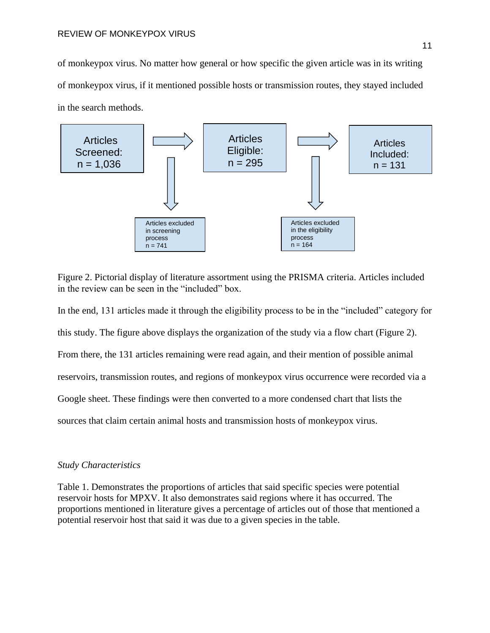of monkeypox virus. No matter how general or how specific the given article was in its writing of monkeypox virus, if it mentioned possible hosts or transmission routes, they stayed included in the search methods.



Figure 2. Pictorial display of literature assortment using the PRISMA criteria. Articles included in the review can be seen in the "included" box.

In the end, 131 articles made it through the eligibility process to be in the "included" category for this study. The figure above displays the organization of the study via a flow chart (Figure 2). From there, the 131 articles remaining were read again, and their mention of possible animal reservoirs, transmission routes, and regions of monkeypox virus occurrence were recorded via a Google sheet. These findings were then converted to a more condensed chart that lists the sources that claim certain animal hosts and transmission hosts of monkeypox virus.

# *Study Characteristics*

Table 1. Demonstrates the proportions of articles that said specific species were potential reservoir hosts for MPXV. It also demonstrates said regions where it has occurred. The proportions mentioned in literature gives a percentage of articles out of those that mentioned a potential reservoir host that said it was due to a given species in the table.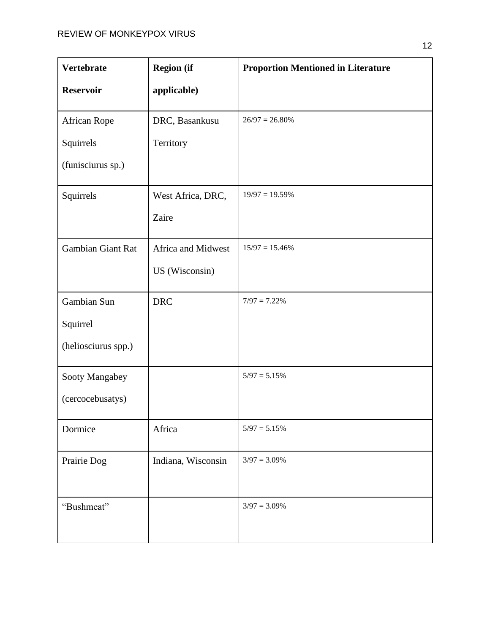| <b>Vertebrate</b>   | <b>Region</b> (if  | <b>Proportion Mentioned in Literature</b> |
|---------------------|--------------------|-------------------------------------------|
| <b>Reservoir</b>    | applicable)        |                                           |
| African Rope        | DRC, Basankusu     | $26/97 = 26.80\%$                         |
| Squirrels           | Territory          |                                           |
| (funisciurus sp.)   |                    |                                           |
| Squirrels           | West Africa, DRC,  | $19/97 = 19.59\%$                         |
|                     | Zaire              |                                           |
| Gambian Giant Rat   | Africa and Midwest | $15/97 = 15.46\%$                         |
|                     | US (Wisconsin)     |                                           |
| Gambian Sun         | <b>DRC</b>         | $7/97 = 7.22\%$                           |
| Squirrel            |                    |                                           |
| (heliosciurus spp.) |                    |                                           |
| Sooty Mangabey      |                    | $5/97 = 5.15%$                            |
| (cercocebusatys)    |                    |                                           |
| Dormice             | Africa             | $5/97 = 5.15\%$                           |
| Prairie Dog         | Indiana, Wisconsin | $3/97 = 3.09\%$                           |
|                     |                    |                                           |
| "Bushmeat"          |                    | $3/97 = 3.09\%$                           |
|                     |                    |                                           |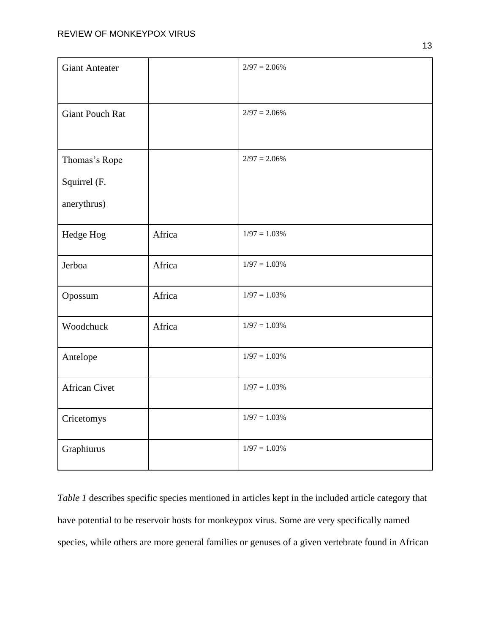| <b>Giant Anteater</b>  |        | $2/97 = 2.06\%$ |
|------------------------|--------|-----------------|
|                        |        |                 |
| <b>Giant Pouch Rat</b> |        | $2/97 = 2.06\%$ |
|                        |        |                 |
| Thomas's Rope          |        | $2/97 = 2.06\%$ |
| Squirrel (F.           |        |                 |
| anerythrus)            |        |                 |
| Hedge Hog              | Africa | $1/97 = 1.03\%$ |
| Jerboa                 | Africa | $1/97 = 1.03\%$ |
| Opossum                | Africa | $1/97 = 1.03\%$ |
| Woodchuck              | Africa | $1/97 = 1.03\%$ |
| Antelope               |        | $1/97 = 1.03\%$ |
| <b>African Civet</b>   |        | $1/97 = 1.03\%$ |
| Cricetomys             |        | $1/97 = 1.03\%$ |
| Graphiurus             |        | $1/97 = 1.03\%$ |

*Table 1* describes specific species mentioned in articles kept in the included article category that have potential to be reservoir hosts for monkeypox virus. Some are very specifically named species, while others are more general families or genuses of a given vertebrate found in African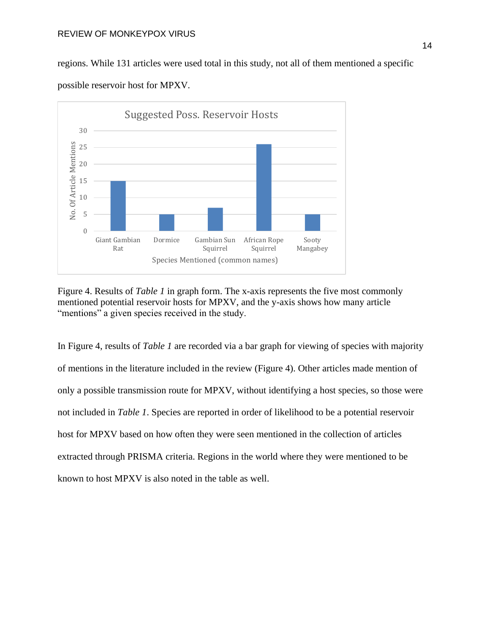#### REVIEW OF MONKEYPOX VIRUS

regions. While 131 articles were used total in this study, not all of them mentioned a specific possible reservoir host for MPXV.



Figure 4. Results of *Table 1* in graph form. The x-axis represents the five most commonly mentioned potential reservoir hosts for MPXV, and the y-axis shows how many article "mentions" a given species received in the study.

In Figure 4, results of *Table 1* are recorded via a bar graph for viewing of species with majority of mentions in the literature included in the review (Figure 4). Other articles made mention of only a possible transmission route for MPXV, without identifying a host species, so those were not included in *Table 1*. Species are reported in order of likelihood to be a potential reservoir host for MPXV based on how often they were seen mentioned in the collection of articles extracted through PRISMA criteria. Regions in the world where they were mentioned to be known to host MPXV is also noted in the table as well.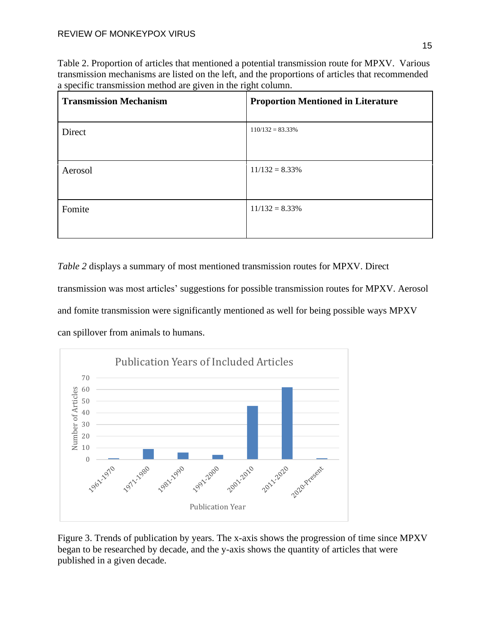Table 2. Proportion of articles that mentioned a potential transmission route for MPXV. Various transmission mechanisms are listed on the left, and the proportions of articles that recommended a specific transmission method are given in the right column.

| <b>Transmission Mechanism</b> | <b>Proportion Mentioned in Literature</b> |
|-------------------------------|-------------------------------------------|
| Direct                        | $110/132 = 83.33\%$                       |
| Aerosol                       | $11/132 = 8.33\%$                         |
| Fomite                        | $11/132 = 8.33\%$                         |

*Table 2* displays a summary of most mentioned transmission routes for MPXV. Direct transmission was most articles' suggestions for possible transmission routes for MPXV. Aerosol and fomite transmission were significantly mentioned as well for being possible ways MPXV can spillover from animals to humans.



Figure 3. Trends of publication by years. The x-axis shows the progression of time since MPXV began to be researched by decade, and the y-axis shows the quantity of articles that were published in a given decade.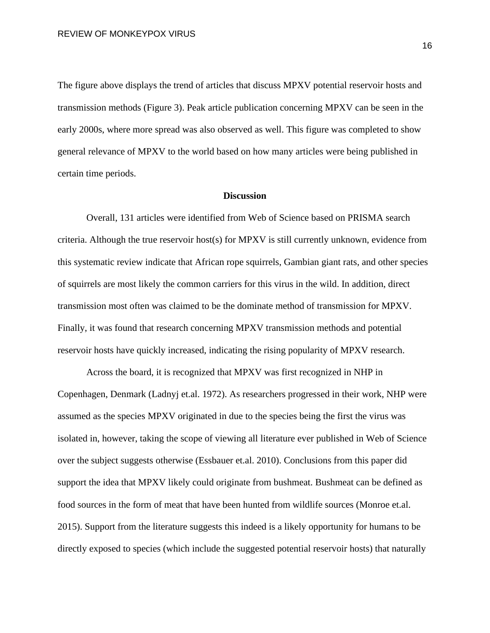The figure above displays the trend of articles that discuss MPXV potential reservoir hosts and transmission methods (Figure 3). Peak article publication concerning MPXV can be seen in the early 2000s, where more spread was also observed as well. This figure was completed to show general relevance of MPXV to the world based on how many articles were being published in certain time periods.

# **Discussion**

Overall, 131 articles were identified from Web of Science based on PRISMA search criteria. Although the true reservoir host(s) for MPXV is still currently unknown, evidence from this systematic review indicate that African rope squirrels, Gambian giant rats, and other species of squirrels are most likely the common carriers for this virus in the wild. In addition, direct transmission most often was claimed to be the dominate method of transmission for MPXV. Finally, it was found that research concerning MPXV transmission methods and potential reservoir hosts have quickly increased, indicating the rising popularity of MPXV research.

Across the board, it is recognized that MPXV was first recognized in NHP in Copenhagen, Denmark (Ladnyj et.al. 1972). As researchers progressed in their work, NHP were assumed as the species MPXV originated in due to the species being the first the virus was isolated in, however, taking the scope of viewing all literature ever published in Web of Science over the subject suggests otherwise (Essbauer et.al. 2010). Conclusions from this paper did support the idea that MPXV likely could originate from bushmeat. Bushmeat can be defined as food sources in the form of meat that have been hunted from wildlife sources (Monroe et.al. 2015). Support from the literature suggests this indeed is a likely opportunity for humans to be directly exposed to species (which include the suggested potential reservoir hosts) that naturally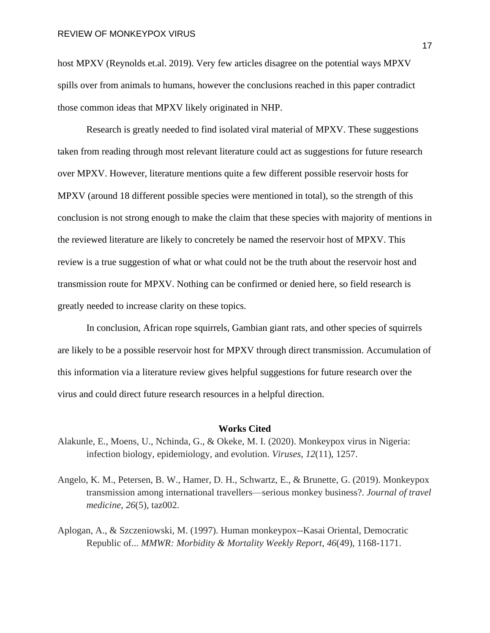host MPXV (Reynolds et.al. 2019). Very few articles disagree on the potential ways MPXV spills over from animals to humans, however the conclusions reached in this paper contradict those common ideas that MPXV likely originated in NHP.

Research is greatly needed to find isolated viral material of MPXV. These suggestions taken from reading through most relevant literature could act as suggestions for future research over MPXV. However, literature mentions quite a few different possible reservoir hosts for MPXV (around 18 different possible species were mentioned in total), so the strength of this conclusion is not strong enough to make the claim that these species with majority of mentions in the reviewed literature are likely to concretely be named the reservoir host of MPXV. This review is a true suggestion of what or what could not be the truth about the reservoir host and transmission route for MPXV. Nothing can be confirmed or denied here, so field research is greatly needed to increase clarity on these topics.

In conclusion, African rope squirrels, Gambian giant rats, and other species of squirrels are likely to be a possible reservoir host for MPXV through direct transmission. Accumulation of this information via a literature review gives helpful suggestions for future research over the virus and could direct future research resources in a helpful direction.

#### **Works Cited**

- Alakunle, E., Moens, U., Nchinda, G., & Okeke, M. I. (2020). Monkeypox virus in Nigeria: infection biology, epidemiology, and evolution. *Viruses*, *12*(11), 1257.
- Angelo, K. M., Petersen, B. W., Hamer, D. H., Schwartz, E., & Brunette, G. (2019). Monkeypox transmission among international travellers—serious monkey business?. *Journal of travel medicine*, *26*(5), taz002.
- Aplogan, A., & Szczeniowski, M. (1997). Human monkeypox--Kasai Oriental, Democratic Republic of... *MMWR: Morbidity & Mortality Weekly Report*, *46*(49), 1168-1171.

17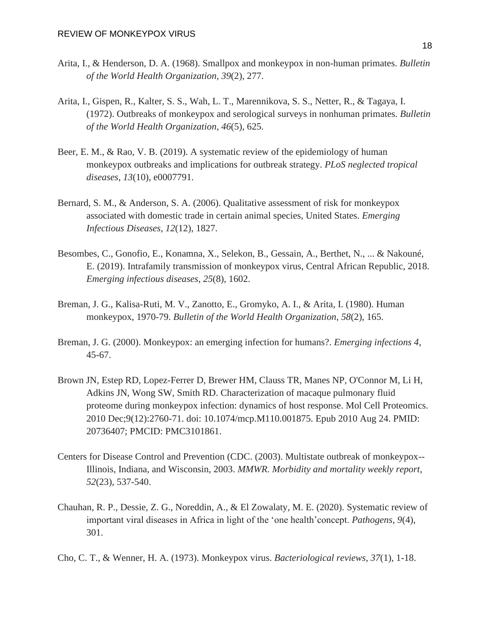- Arita, I., & Henderson, D. A. (1968). Smallpox and monkeypox in non-human primates. *Bulletin of the World Health Organization*, *39*(2), 277.
- Arita, I., Gispen, R., Kalter, S. S., Wah, L. T., Marennikova, S. S., Netter, R., & Tagaya, I. (1972). Outbreaks of monkeypox and serological surveys in nonhuman primates. *Bulletin of the World Health Organization*, *46*(5), 625.
- Beer, E. M., & Rao, V. B. (2019). A systematic review of the epidemiology of human monkeypox outbreaks and implications for outbreak strategy. *PLoS neglected tropical diseases*, *13*(10), e0007791.
- Bernard, S. M., & Anderson, S. A. (2006). Qualitative assessment of risk for monkeypox associated with domestic trade in certain animal species, United States. *Emerging Infectious Diseases*, *12*(12), 1827.
- Besombes, C., Gonofio, E., Konamna, X., Selekon, B., Gessain, A., Berthet, N., ... & Nakouné, E. (2019). Intrafamily transmission of monkeypox virus, Central African Republic, 2018. *Emerging infectious diseases*, *25*(8), 1602.
- Breman, J. G., Kalisa-Ruti, M. V., Zanotto, E., Gromyko, A. I., & Arita, I. (1980). Human monkeypox, 1970-79. *Bulletin of the World Health Organization*, *58*(2), 165.
- Breman, J. G. (2000). Monkeypox: an emerging infection for humans?. *Emerging infections 4*, 45-67.
- Brown JN, Estep RD, Lopez-Ferrer D, Brewer HM, Clauss TR, Manes NP, O'Connor M, Li H, Adkins JN, Wong SW, Smith RD. Characterization of macaque pulmonary fluid proteome during monkeypox infection: dynamics of host response. Mol Cell Proteomics. 2010 Dec;9(12):2760-71. doi: 10.1074/mcp.M110.001875. Epub 2010 Aug 24. PMID: 20736407; PMCID: PMC3101861.
- Centers for Disease Control and Prevention (CDC. (2003). Multistate outbreak of monkeypox-- Illinois, Indiana, and Wisconsin, 2003. *MMWR. Morbidity and mortality weekly report*, *52*(23), 537-540.
- Chauhan, R. P., Dessie, Z. G., Noreddin, A., & El Zowalaty, M. E. (2020). Systematic review of important viral diseases in Africa in light of the 'one health'concept. *Pathogens*, *9*(4), 301.
- Cho, C. T., & Wenner, H. A. (1973). Monkeypox virus. *Bacteriological reviews*, *37*(1), 1-18.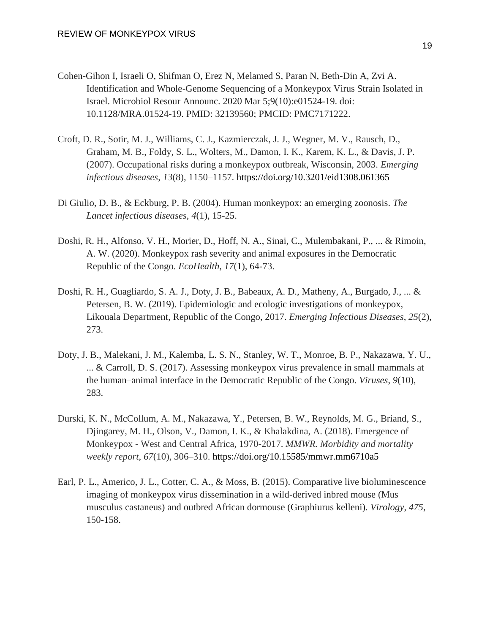- Cohen-Gihon I, Israeli O, Shifman O, Erez N, Melamed S, Paran N, Beth-Din A, Zvi A. Identification and Whole-Genome Sequencing of a Monkeypox Virus Strain Isolated in Israel. Microbiol Resour Announc. 2020 Mar 5;9(10):e01524-19. doi: 10.1128/MRA.01524-19. PMID: 32139560; PMCID: PMC7171222.
- Croft, D. R., Sotir, M. J., Williams, C. J., Kazmierczak, J. J., Wegner, M. V., Rausch, D., Graham, M. B., Foldy, S. L., Wolters, M., Damon, I. K., Karem, K. L., & Davis, J. P. (2007). Occupational risks during a monkeypox outbreak, Wisconsin, 2003. *Emerging infectious diseases*, *13*(8), 1150–1157. <https://doi.org/10.3201/eid1308.061365>
- Di Giulio, D. B., & Eckburg, P. B. (2004). Human monkeypox: an emerging zoonosis. *The Lancet infectious diseases*, *4*(1), 15-25.
- Doshi, R. H., Alfonso, V. H., Morier, D., Hoff, N. A., Sinai, C., Mulembakani, P., ... & Rimoin, A. W. (2020). Monkeypox rash severity and animal exposures in the Democratic Republic of the Congo. *EcoHealth*, *17*(1), 64-73.
- Doshi, R. H., Guagliardo, S. A. J., Doty, J. B., Babeaux, A. D., Matheny, A., Burgado, J., ... & Petersen, B. W. (2019). Epidemiologic and ecologic investigations of monkeypox, Likouala Department, Republic of the Congo, 2017. *Emerging Infectious Diseases*, *25*(2), 273.
- Doty, J. B., Malekani, J. M., Kalemba, L. S. N., Stanley, W. T., Monroe, B. P., Nakazawa, Y. U., ... & Carroll, D. S. (2017). Assessing monkeypox virus prevalence in small mammals at the human–animal interface in the Democratic Republic of the Congo. *Viruses*, *9*(10), 283.
- Durski, K. N., McCollum, A. M., Nakazawa, Y., Petersen, B. W., Reynolds, M. G., Briand, S., Djingarey, M. H., Olson, V., Damon, I. K., & Khalakdina, A. (2018). Emergence of Monkeypox - West and Central Africa, 1970-2017. *MMWR. Morbidity and mortality weekly report*, *67*(10), 306–310.<https://doi.org/10.15585/mmwr.mm6710a5>
- Earl, P. L., Americo, J. L., Cotter, C. A., & Moss, B. (2015). Comparative live bioluminescence imaging of monkeypox virus dissemination in a wild-derived inbred mouse (Mus musculus castaneus) and outbred African dormouse (Graphiurus kelleni). *Virology*, *475*, 150-158.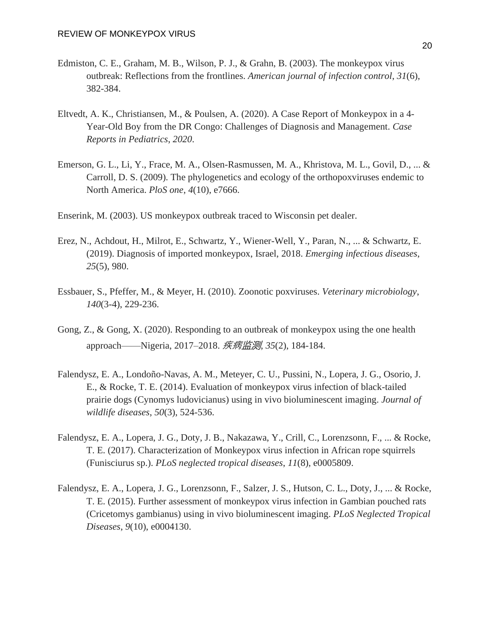- Edmiston, C. E., Graham, M. B., Wilson, P. J., & Grahn, B. (2003). The monkeypox virus outbreak: Reflections from the frontlines. *American journal of infection control*, *31*(6), 382-384.
- Eltvedt, A. K., Christiansen, M., & Poulsen, A. (2020). A Case Report of Monkeypox in a 4- Year-Old Boy from the DR Congo: Challenges of Diagnosis and Management. *Case Reports in Pediatrics*, *2020*.
- Emerson, G. L., Li, Y., Frace, M. A., Olsen-Rasmussen, M. A., Khristova, M. L., Govil, D., ... & Carroll, D. S. (2009). The phylogenetics and ecology of the orthopoxviruses endemic to North America. *PloS one*, *4*(10), e7666.
- Enserink, M. (2003). US monkeypox outbreak traced to Wisconsin pet dealer.
- Erez, N., Achdout, H., Milrot, E., Schwartz, Y., Wiener-Well, Y., Paran, N., ... & Schwartz, E. (2019). Diagnosis of imported monkeypox, Israel, 2018. *Emerging infectious diseases*, *25*(5), 980.
- Essbauer, S., Pfeffer, M., & Meyer, H. (2010). Zoonotic poxviruses. *Veterinary microbiology*, *140*(3-4), 229-236.
- Gong, Z., & Gong, X. (2020). Responding to an outbreak of monkeypox using the one health approach——Nigeria, 2017–2018. 疾病监测, *35*(2), 184-184.
- Falendysz, E. A., Londoño-Navas, A. M., Meteyer, C. U., Pussini, N., Lopera, J. G., Osorio, J. E., & Rocke, T. E. (2014). Evaluation of monkeypox virus infection of black-tailed prairie dogs (Cynomys ludovicianus) using in vivo bioluminescent imaging. *Journal of wildlife diseases*, *50*(3), 524-536.
- Falendysz, E. A., Lopera, J. G., Doty, J. B., Nakazawa, Y., Crill, C., Lorenzsonn, F., ... & Rocke, T. E. (2017). Characterization of Monkeypox virus infection in African rope squirrels (Funisciurus sp.). *PLoS neglected tropical diseases*, *11*(8), e0005809.
- Falendysz, E. A., Lopera, J. G., Lorenzsonn, F., Salzer, J. S., Hutson, C. L., Doty, J., ... & Rocke, T. E. (2015). Further assessment of monkeypox virus infection in Gambian pouched rats (Cricetomys gambianus) using in vivo bioluminescent imaging. *PLoS Neglected Tropical Diseases*, *9*(10), e0004130.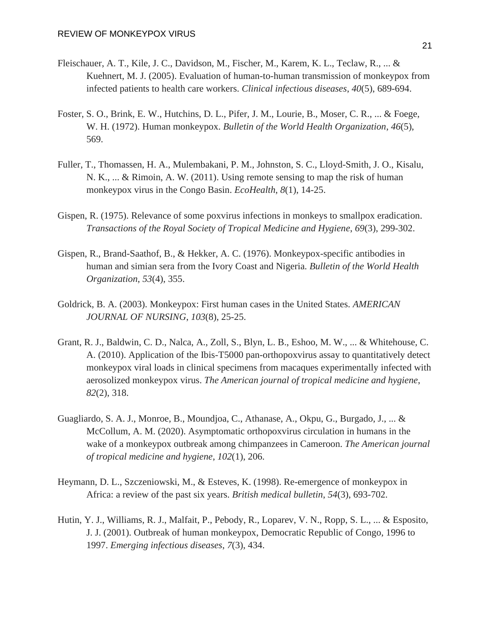- Fleischauer, A. T., Kile, J. C., Davidson, M., Fischer, M., Karem, K. L., Teclaw, R., ... & Kuehnert, M. J. (2005). Evaluation of human-to-human transmission of monkeypox from infected patients to health care workers. *Clinical infectious diseases*, *40*(5), 689-694.
- Foster, S. O., Brink, E. W., Hutchins, D. L., Pifer, J. M., Lourie, B., Moser, C. R., ... & Foege, W. H. (1972). Human monkeypox. *Bulletin of the World Health Organization*, *46*(5), 569.
- Fuller, T., Thomassen, H. A., Mulembakani, P. M., Johnston, S. C., Lloyd-Smith, J. O., Kisalu, N. K., ... & Rimoin, A. W. (2011). Using remote sensing to map the risk of human monkeypox virus in the Congo Basin. *EcoHealth*, *8*(1), 14-25.
- Gispen, R. (1975). Relevance of some poxvirus infections in monkeys to smallpox eradication. *Transactions of the Royal Society of Tropical Medicine and Hygiene*, *69*(3), 299-302.
- Gispen, R., Brand-Saathof, B., & Hekker, A. C. (1976). Monkeypox-specific antibodies in human and simian sera from the Ivory Coast and Nigeria. *Bulletin of the World Health Organization*, *53*(4), 355.
- Goldrick, B. A. (2003). Monkeypox: First human cases in the United States. *AMERICAN JOURNAL OF NURSING*, *103*(8), 25-25.
- Grant, R. J., Baldwin, C. D., Nalca, A., Zoll, S., Blyn, L. B., Eshoo, M. W., ... & Whitehouse, C. A. (2010). Application of the Ibis-T5000 pan-orthopoxvirus assay to quantitatively detect monkeypox viral loads in clinical specimens from macaques experimentally infected with aerosolized monkeypox virus. *The American journal of tropical medicine and hygiene*, *82*(2), 318.
- Guagliardo, S. A. J., Monroe, B., Moundjoa, C., Athanase, A., Okpu, G., Burgado, J., ... & McCollum, A. M. (2020). Asymptomatic orthopoxvirus circulation in humans in the wake of a monkeypox outbreak among chimpanzees in Cameroon. *The American journal of tropical medicine and hygiene*, *102*(1), 206.
- Heymann, D. L., Szczeniowski, M., & Esteves, K. (1998). Re-emergence of monkeypox in Africa: a review of the past six years. *British medical bulletin*, *54*(3), 693-702.
- Hutin, Y. J., Williams, R. J., Malfait, P., Pebody, R., Loparev, V. N., Ropp, S. L., ... & Esposito, J. J. (2001). Outbreak of human monkeypox, Democratic Republic of Congo, 1996 to 1997. *Emerging infectious diseases*, *7*(3), 434.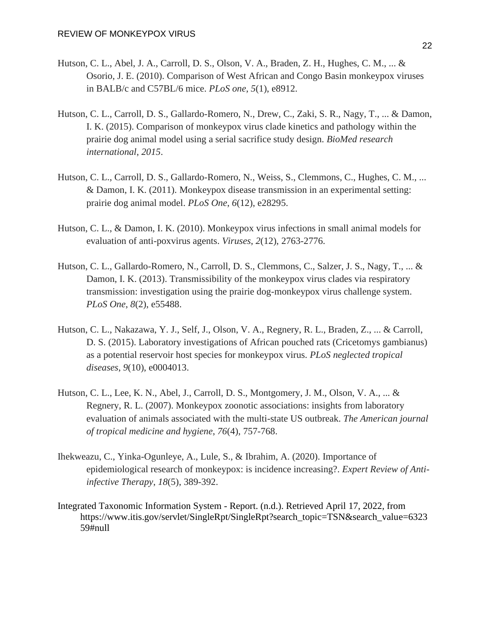- Hutson, C. L., Abel, J. A., Carroll, D. S., Olson, V. A., Braden, Z. H., Hughes, C. M., ... & Osorio, J. E. (2010). Comparison of West African and Congo Basin monkeypox viruses in BALB/c and C57BL/6 mice. *PLoS one*, *5*(1), e8912.
- Hutson, C. L., Carroll, D. S., Gallardo-Romero, N., Drew, C., Zaki, S. R., Nagy, T., ... & Damon, I. K. (2015). Comparison of monkeypox virus clade kinetics and pathology within the prairie dog animal model using a serial sacrifice study design. *BioMed research international*, *2015*.
- Hutson, C. L., Carroll, D. S., Gallardo-Romero, N., Weiss, S., Clemmons, C., Hughes, C. M., ... & Damon, I. K. (2011). Monkeypox disease transmission in an experimental setting: prairie dog animal model. *PLoS One*, *6*(12), e28295.
- Hutson, C. L., & Damon, I. K. (2010). Monkeypox virus infections in small animal models for evaluation of anti-poxvirus agents. *Viruses*, *2*(12), 2763-2776.
- Hutson, C. L., Gallardo-Romero, N., Carroll, D. S., Clemmons, C., Salzer, J. S., Nagy, T., ... & Damon, I. K. (2013). Transmissibility of the monkeypox virus clades via respiratory transmission: investigation using the prairie dog-monkeypox virus challenge system. *PLoS One*, *8*(2), e55488.
- Hutson, C. L., Nakazawa, Y. J., Self, J., Olson, V. A., Regnery, R. L., Braden, Z., ... & Carroll, D. S. (2015). Laboratory investigations of African pouched rats (Cricetomys gambianus) as a potential reservoir host species for monkeypox virus. *PLoS neglected tropical diseases*, *9*(10), e0004013.
- Hutson, C. L., Lee, K. N., Abel, J., Carroll, D. S., Montgomery, J. M., Olson, V. A., ... & Regnery, R. L. (2007). Monkeypox zoonotic associations: insights from laboratory evaluation of animals associated with the multi-state US outbreak. *The American journal of tropical medicine and hygiene*, *76*(4), 757-768.
- Ihekweazu, C., Yinka-Ogunleye, A., Lule, S., & Ibrahim, A. (2020). Importance of epidemiological research of monkeypox: is incidence increasing?. *Expert Review of Antiinfective Therapy*, *18*(5), 389-392.
- Integrated Taxonomic Information System Report. (n.d.). Retrieved April 17, 2022, from [https://www.itis.gov/servlet/SingleRpt/SingleRpt?search\\_topic=TSN&search\\_value=6323](https://www.itis.gov/servlet/SingleRpt/SingleRpt?search_topic=TSN&search_value=632359#null) [59#null](https://www.itis.gov/servlet/SingleRpt/SingleRpt?search_topic=TSN&search_value=632359#null)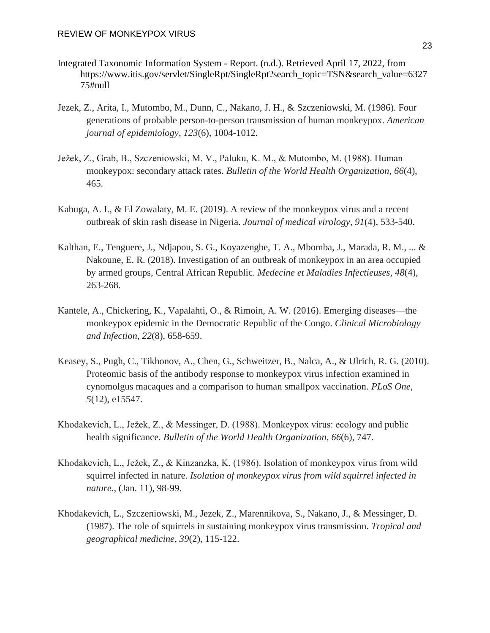- Integrated Taxonomic Information System Report. (n.d.). Retrieved April 17, 2022, from https://www.itis.gov/servlet/SingleRpt/SingleRpt?search\_topic=TSN&search\_value=6327 75#null
- Jezek, Z., Arita, I., Mutombo, M., Dunn, C., Nakano, J. H., & Szczeniowski, M. (1986). Four generations of probable person-to-person transmission of human monkeypox. *American journal of epidemiology*, *123*(6), 1004-1012.
- Ježek, Z., Grab, B., Szczeniowski, M. V., Paluku, K. M., & Mutombo, M. (1988). Human monkeypox: secondary attack rates. *Bulletin of the World Health Organization*, *66*(4), 465.
- Kabuga, A. I., & El Zowalaty, M. E. (2019). A review of the monkeypox virus and a recent outbreak of skin rash disease in Nigeria. *Journal of medical virology*, *91*(4), 533-540.
- Kalthan, E., Tenguere, J., Ndjapou, S. G., Koyazengbe, T. A., Mbomba, J., Marada, R. M., ... & Nakoune, E. R. (2018). Investigation of an outbreak of monkeypox in an area occupied by armed groups, Central African Republic. *Medecine et Maladies Infectieuses*, *48*(4), 263-268.
- Kantele, A., Chickering, K., Vapalahti, O., & Rimoin, A. W. (2016). Emerging diseases—the monkeypox epidemic in the Democratic Republic of the Congo. *Clinical Microbiology and Infection*, *22*(8), 658-659.
- Keasey, S., Pugh, C., Tikhonov, A., Chen, G., Schweitzer, B., Nalca, A., & Ulrich, R. G. (2010). Proteomic basis of the antibody response to monkeypox virus infection examined in cynomolgus macaques and a comparison to human smallpox vaccination. *PLoS One*, *5*(12), e15547.
- Khodakevich, L., Ježek, Z., & Messinger, D. (1988). Monkeypox virus: ecology and public health significance. *Bulletin of the World Health Organization*, *66*(6), 747.
- Khodakevich, L., Ježek, Z., & Kinzanzka, K. (1986). Isolation of monkeypox virus from wild squirrel infected in nature. *Isolation of monkeypox virus from wild squirrel infected in nature.*, (Jan. 11), 98-99.
- Khodakevich, L., Szczeniowski, M., Jezek, Z., Marennikova, S., Nakano, J., & Messinger, D. (1987). The role of squirrels in sustaining monkeypox virus transmission. *Tropical and geographical medicine*, *39*(2), 115-122.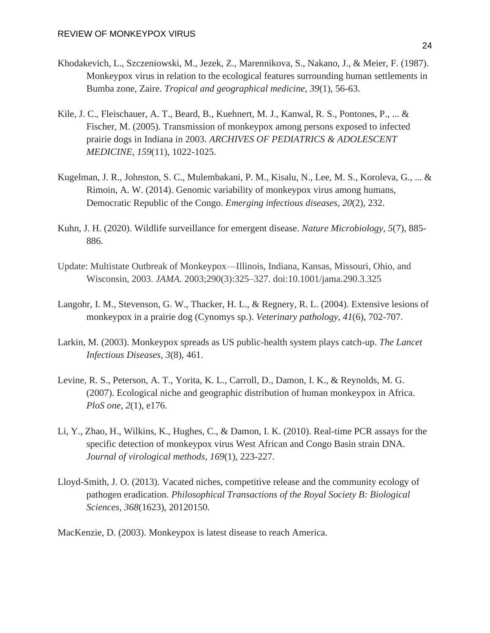- Khodakevich, L., Szczeniowski, M., Jezek, Z., Marennikova, S., Nakano, J., & Meier, F. (1987). Monkeypox virus in relation to the ecological features surrounding human settlements in Bumba zone, Zaire. *Tropical and geographical medicine*, *39*(1), 56-63.
- Kile, J. C., Fleischauer, A. T., Beard, B., Kuehnert, M. J., Kanwal, R. S., Pontones, P., ... & Fischer, M. (2005). Transmission of monkeypox among persons exposed to infected prairie dogs in Indiana in 2003. *ARCHIVES OF PEDIATRICS & ADOLESCENT MEDICINE*, *159*(11), 1022-1025.
- Kugelman, J. R., Johnston, S. C., Mulembakani, P. M., Kisalu, N., Lee, M. S., Koroleva, G., ... & Rimoin, A. W. (2014). Genomic variability of monkeypox virus among humans, Democratic Republic of the Congo. *Emerging infectious diseases*, *20*(2), 232.
- Kuhn, J. H. (2020). Wildlife surveillance for emergent disease. *Nature Microbiology*, *5*(7), 885- 886.
- Update: Multistate Outbreak of Monkeypox—Illinois, Indiana, Kansas, Missouri, Ohio, and Wisconsin, 2003. *JAMA.* 2003;290(3):325–327. doi:10.1001/jama.290.3.325
- Langohr, I. M., Stevenson, G. W., Thacker, H. L., & Regnery, R. L. (2004). Extensive lesions of monkeypox in a prairie dog (Cynomys sp.). *Veterinary pathology*, *41*(6), 702-707.
- Larkin, M. (2003). Monkeypox spreads as US public-health system plays catch-up. *The Lancet Infectious Diseases*, *3*(8), 461.
- Levine, R. S., Peterson, A. T., Yorita, K. L., Carroll, D., Damon, I. K., & Reynolds, M. G. (2007). Ecological niche and geographic distribution of human monkeypox in Africa. *PloS one*, *2*(1), e176.
- Li, Y., Zhao, H., Wilkins, K., Hughes, C., & Damon, I. K. (2010). Real-time PCR assays for the specific detection of monkeypox virus West African and Congo Basin strain DNA. *Journal of virological methods*, *169*(1), 223-227.
- Lloyd-Smith, J. O. (2013). Vacated niches, competitive release and the community ecology of pathogen eradication. *Philosophical Transactions of the Royal Society B: Biological Sciences*, *368*(1623), 20120150.

MacKenzie, D. (2003). Monkeypox is latest disease to reach America.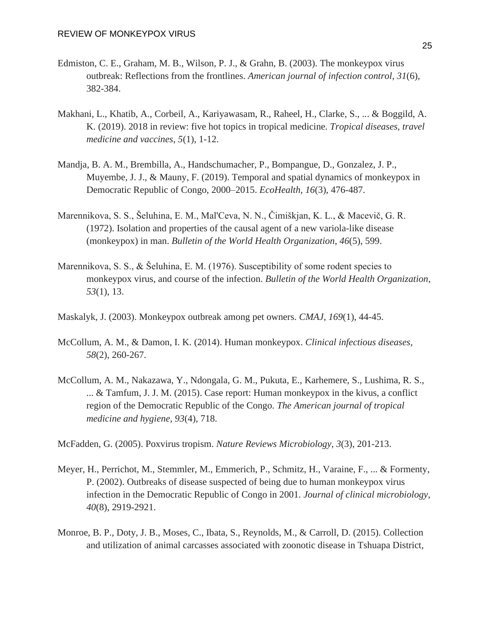- Edmiston, C. E., Graham, M. B., Wilson, P. J., & Grahn, B. (2003). The monkeypox virus outbreak: Reflections from the frontlines. *American journal of infection control*, *31*(6), 382-384.
- Makhani, L., Khatib, A., Corbeil, A., Kariyawasam, R., Raheel, H., Clarke, S., ... & Boggild, A. K. (2019). 2018 in review: five hot topics in tropical medicine. *Tropical diseases, travel medicine and vaccines*, *5*(1), 1-12.
- Mandja, B. A. M., Brembilla, A., Handschumacher, P., Bompangue, D., Gonzalez, J. P., Muyembe, J. J., & Mauny, F. (2019). Temporal and spatial dynamics of monkeypox in Democratic Republic of Congo, 2000–2015. *EcoHealth*, *16*(3), 476-487.
- Marennikova, S. S., Šeluhina, E. M., Mal'Ceva, N. N., Čimiškjan, K. L., & Macevič, G. R. (1972). Isolation and properties of the causal agent of a new variola-like disease (monkeypox) in man. *Bulletin of the World Health Organization*, *46*(5), 599.
- Marennikova, S. S., & Šeluhina, E. M. (1976). Susceptibility of some rodent species to monkeypox virus, and course of the infection. *Bulletin of the World Health Organization*, *53*(1), 13.
- Maskalyk, J. (2003). Monkeypox outbreak among pet owners. *CMAJ*, *169*(1), 44-45.
- McCollum, A. M., & Damon, I. K. (2014). Human monkeypox. *Clinical infectious diseases*, *58*(2), 260-267.
- McCollum, A. M., Nakazawa, Y., Ndongala, G. M., Pukuta, E., Karhemere, S., Lushima, R. S., ... & Tamfum, J. J. M. (2015). Case report: Human monkeypox in the kivus, a conflict region of the Democratic Republic of the Congo. *The American journal of tropical medicine and hygiene*, *93*(4), 718.

McFadden, G. (2005). Poxvirus tropism. *Nature Reviews Microbiology*, *3*(3), 201-213.

- Meyer, H., Perrichot, M., Stemmler, M., Emmerich, P., Schmitz, H., Varaine, F., ... & Formenty, P. (2002). Outbreaks of disease suspected of being due to human monkeypox virus infection in the Democratic Republic of Congo in 2001. *Journal of clinical microbiology*, *40*(8), 2919-2921.
- Monroe, B. P., Doty, J. B., Moses, C., Ibata, S., Reynolds, M., & Carroll, D. (2015). Collection and utilization of animal carcasses associated with zoonotic disease in Tshuapa District,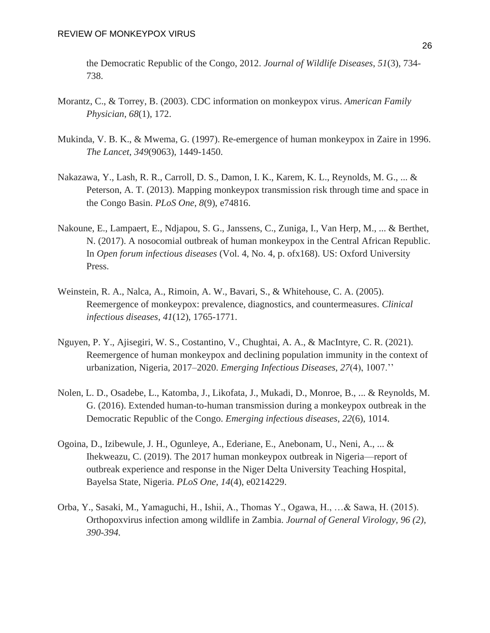the Democratic Republic of the Congo, 2012. *Journal of Wildlife Diseases*, *51*(3), 734- 738.

- Morantz, C., & Torrey, B. (2003). CDC information on monkeypox virus. *American Family Physician*, *68*(1), 172.
- Mukinda, V. B. K., & Mwema, G. (1997). Re-emergence of human monkeypox in Zaire in 1996. *The Lancet*, *349*(9063), 1449-1450.
- Nakazawa, Y., Lash, R. R., Carroll, D. S., Damon, I. K., Karem, K. L., Reynolds, M. G., ... & Peterson, A. T. (2013). Mapping monkeypox transmission risk through time and space in the Congo Basin. *PLoS One*, *8*(9), e74816.
- Nakoune, E., Lampaert, E., Ndjapou, S. G., Janssens, C., Zuniga, I., Van Herp, M., ... & Berthet, N. (2017). A nosocomial outbreak of human monkeypox in the Central African Republic. In *Open forum infectious diseases* (Vol. 4, No. 4, p. ofx168). US: Oxford University Press.
- Weinstein, R. A., Nalca, A., Rimoin, A. W., Bavari, S., & Whitehouse, C. A. (2005). Reemergence of monkeypox: prevalence, diagnostics, and countermeasures. *Clinical infectious diseases*, *41*(12), 1765-1771.
- Nguyen, P. Y., Ajisegiri, W. S., Costantino, V., Chughtai, A. A., & MacIntyre, C. R. (2021). Reemergence of human monkeypox and declining population immunity in the context of urbanization, Nigeria, 2017–2020. *Emerging Infectious Diseases*, *27*(4), 1007.''
- Nolen, L. D., Osadebe, L., Katomba, J., Likofata, J., Mukadi, D., Monroe, B., ... & Reynolds, M. G. (2016). Extended human-to-human transmission during a monkeypox outbreak in the Democratic Republic of the Congo. *Emerging infectious diseases*, *22*(6), 1014.
- Ogoina, D., Izibewule, J. H., Ogunleye, A., Ederiane, E., Anebonam, U., Neni, A., ... & Ihekweazu, C. (2019). The 2017 human monkeypox outbreak in Nigeria—report of outbreak experience and response in the Niger Delta University Teaching Hospital, Bayelsa State, Nigeria. *PLoS One*, *14*(4), e0214229.
- Orba, Y., Sasaki, M., Yamaguchi, H., Ishii, A., Thomas Y., Ogawa, H., …& Sawa, H. (2015). Orthopoxvirus infection among wildlife in Zambia. *Journal of General Virology, 96 (2), 390-394.*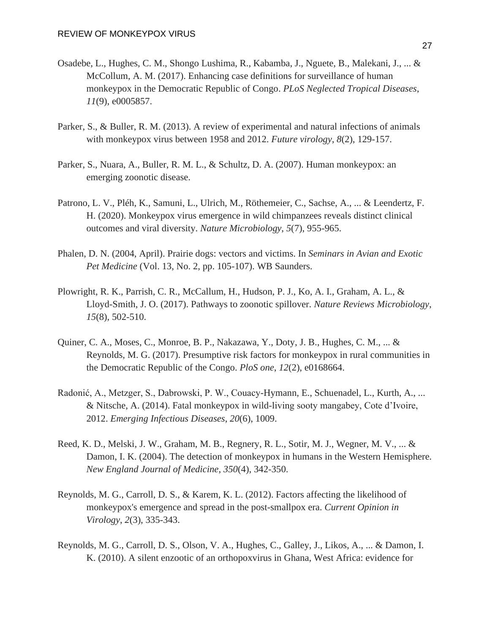- Osadebe, L., Hughes, C. M., Shongo Lushima, R., Kabamba, J., Nguete, B., Malekani, J., ... & McCollum, A. M. (2017). Enhancing case definitions for surveillance of human monkeypox in the Democratic Republic of Congo. *PLoS Neglected Tropical Diseases*, *11*(9), e0005857.
- Parker, S., & Buller, R. M. (2013). A review of experimental and natural infections of animals with monkeypox virus between 1958 and 2012. *Future virology*, *8*(2), 129-157.
- Parker, S., Nuara, A., Buller, R. M. L., & Schultz, D. A. (2007). Human monkeypox: an emerging zoonotic disease.
- Patrono, L. V., Pléh, K., Samuni, L., Ulrich, M., Röthemeier, C., Sachse, A., ... & Leendertz, F. H. (2020). Monkeypox virus emergence in wild chimpanzees reveals distinct clinical outcomes and viral diversity. *Nature Microbiology*, *5*(7), 955-965.
- Phalen, D. N. (2004, April). Prairie dogs: vectors and victims. In *Seminars in Avian and Exotic Pet Medicine* (Vol. 13, No. 2, pp. 105-107). WB Saunders.
- Plowright, R. K., Parrish, C. R., McCallum, H., Hudson, P. J., Ko, A. I., Graham, A. L., & Lloyd-Smith, J. O. (2017). Pathways to zoonotic spillover. *Nature Reviews Microbiology*, *15*(8), 502-510.
- Quiner, C. A., Moses, C., Monroe, B. P., Nakazawa, Y., Doty, J. B., Hughes, C. M., ... & Reynolds, M. G. (2017). Presumptive risk factors for monkeypox in rural communities in the Democratic Republic of the Congo. *PloS one*, *12*(2), e0168664.
- Radonić, A., Metzger, S., Dabrowski, P. W., Couacy-Hymann, E., Schuenadel, L., Kurth, A., ... & Nitsche, A. (2014). Fatal monkeypox in wild-living sooty mangabey, Cote d'Ivoire, 2012. *Emerging Infectious Diseases*, *20*(6), 1009.
- Reed, K. D., Melski, J. W., Graham, M. B., Regnery, R. L., Sotir, M. J., Wegner, M. V., ... & Damon, I. K. (2004). The detection of monkeypox in humans in the Western Hemisphere. *New England Journal of Medicine*, *350*(4), 342-350.
- Reynolds, M. G., Carroll, D. S., & Karem, K. L. (2012). Factors affecting the likelihood of monkeypox's emergence and spread in the post-smallpox era. *Current Opinion in Virology*, *2*(3), 335-343.
- Reynolds, M. G., Carroll, D. S., Olson, V. A., Hughes, C., Galley, J., Likos, A., ... & Damon, I. K. (2010). A silent enzootic of an orthopoxvirus in Ghana, West Africa: evidence for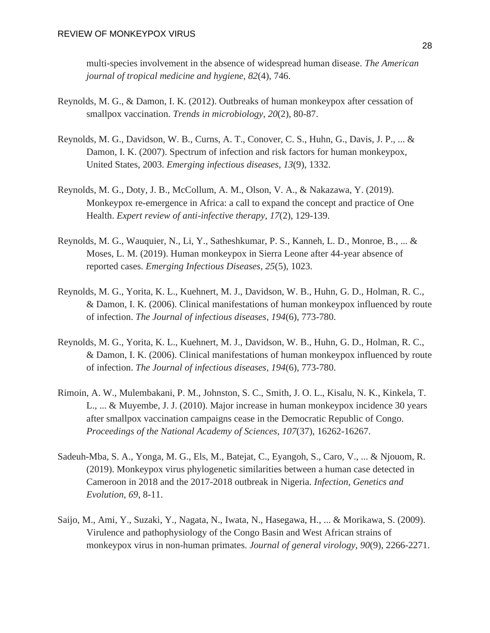multi-species involvement in the absence of widespread human disease. *The American journal of tropical medicine and hygiene*, *82*(4), 746.

- Reynolds, M. G., & Damon, I. K. (2012). Outbreaks of human monkeypox after cessation of smallpox vaccination. *Trends in microbiology*, *20*(2), 80-87.
- Reynolds, M. G., Davidson, W. B., Curns, A. T., Conover, C. S., Huhn, G., Davis, J. P., ... & Damon, I. K. (2007). Spectrum of infection and risk factors for human monkeypox, United States, 2003. *Emerging infectious diseases*, *13*(9), 1332.
- Reynolds, M. G., Doty, J. B., McCollum, A. M., Olson, V. A., & Nakazawa, Y. (2019). Monkeypox re-emergence in Africa: a call to expand the concept and practice of One Health. *Expert review of anti-infective therapy*, *17*(2), 129-139.
- Reynolds, M. G., Wauquier, N., Li, Y., Satheshkumar, P. S., Kanneh, L. D., Monroe, B., ... & Moses, L. M. (2019). Human monkeypox in Sierra Leone after 44-year absence of reported cases. *Emerging Infectious Diseases*, *25*(5), 1023.
- Reynolds, M. G., Yorita, K. L., Kuehnert, M. J., Davidson, W. B., Huhn, G. D., Holman, R. C., & Damon, I. K. (2006). Clinical manifestations of human monkeypox influenced by route of infection. *The Journal of infectious diseases*, *194*(6), 773-780.
- Reynolds, M. G., Yorita, K. L., Kuehnert, M. J., Davidson, W. B., Huhn, G. D., Holman, R. C., & Damon, I. K. (2006). Clinical manifestations of human monkeypox influenced by route of infection. *The Journal of infectious diseases*, *194*(6), 773-780.
- Rimoin, A. W., Mulembakani, P. M., Johnston, S. C., Smith, J. O. L., Kisalu, N. K., Kinkela, T. L., ... & Muyembe, J. J. (2010). Major increase in human monkeypox incidence 30 years after smallpox vaccination campaigns cease in the Democratic Republic of Congo. *Proceedings of the National Academy of Sciences*, *107*(37), 16262-16267.
- Sadeuh-Mba, S. A., Yonga, M. G., Els, M., Batejat, C., Eyangoh, S., Caro, V., ... & Njouom, R. (2019). Monkeypox virus phylogenetic similarities between a human case detected in Cameroon in 2018 and the 2017-2018 outbreak in Nigeria. *Infection, Genetics and Evolution*, *69*, 8-11.
- Saijo, M., Ami, Y., Suzaki, Y., Nagata, N., Iwata, N., Hasegawa, H., ... & Morikawa, S. (2009). Virulence and pathophysiology of the Congo Basin and West African strains of monkeypox virus in non-human primates. *Journal of general virology*, *90*(9), 2266-2271.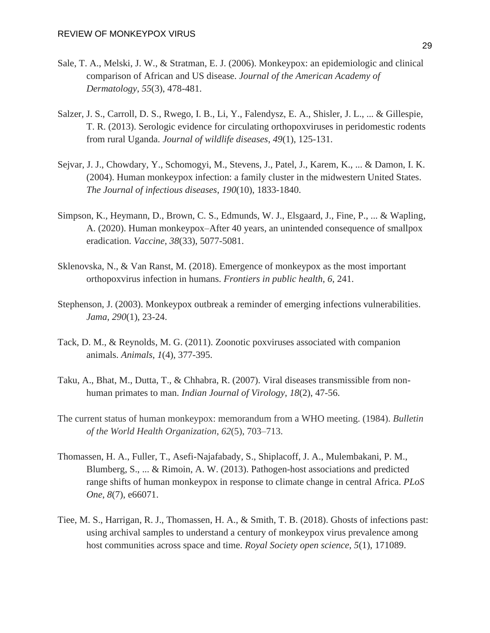- Sale, T. A., Melski, J. W., & Stratman, E. J. (2006). Monkeypox: an epidemiologic and clinical comparison of African and US disease. *Journal of the American Academy of Dermatology*, *55*(3), 478-481.
- Salzer, J. S., Carroll, D. S., Rwego, I. B., Li, Y., Falendysz, E. A., Shisler, J. L., ... & Gillespie, T. R. (2013). Serologic evidence for circulating orthopoxviruses in peridomestic rodents from rural Uganda. *Journal of wildlife diseases*, *49*(1), 125-131.
- Sejvar, J. J., Chowdary, Y., Schomogyi, M., Stevens, J., Patel, J., Karem, K., ... & Damon, I. K. (2004). Human monkeypox infection: a family cluster in the midwestern United States. *The Journal of infectious diseases*, *190*(10), 1833-1840.
- Simpson, K., Heymann, D., Brown, C. S., Edmunds, W. J., Elsgaard, J., Fine, P., ... & Wapling, A. (2020). Human monkeypox–After 40 years, an unintended consequence of smallpox eradication. *Vaccine*, *38*(33), 5077-5081.
- Sklenovska, N., & Van Ranst, M. (2018). Emergence of monkeypox as the most important orthopoxvirus infection in humans. *Frontiers in public health*, *6*, 241.
- Stephenson, J. (2003). Monkeypox outbreak a reminder of emerging infections vulnerabilities. *Jama*, *290*(1), 23-24.
- Tack, D. M., & Reynolds, M. G. (2011). Zoonotic poxviruses associated with companion animals. *Animals*, *1*(4), 377-395.
- Taku, A., Bhat, M., Dutta, T., & Chhabra, R. (2007). Viral diseases transmissible from nonhuman primates to man. *Indian Journal of Virology*, *18*(2), 47-56.
- The current status of human monkeypox: memorandum from a WHO meeting. (1984). *Bulletin of the World Health Organization*, *62*(5), 703–713.
- Thomassen, H. A., Fuller, T., Asefi-Najafabady, S., Shiplacoff, J. A., Mulembakani, P. M., Blumberg, S., ... & Rimoin, A. W. (2013). Pathogen-host associations and predicted range shifts of human monkeypox in response to climate change in central Africa. *PLoS One*, *8*(7), e66071.
- Tiee, M. S., Harrigan, R. J., Thomassen, H. A., & Smith, T. B. (2018). Ghosts of infections past: using archival samples to understand a century of monkeypox virus prevalence among host communities across space and time. *Royal Society open science*, *5*(1), 171089.